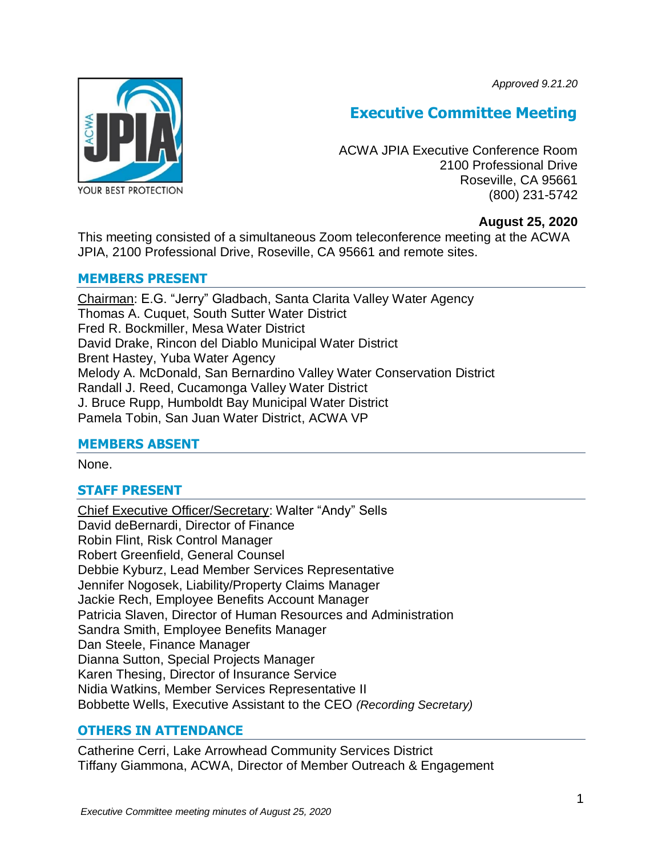*Approved 9.21.20*



# **Executive Committee Meeting**

ACWA JPIA Executive Conference Room 2100 Professional Drive Roseville, CA 95661 (800) 231-5742

# **August 25, 2020**

This meeting consisted of a simultaneous Zoom teleconference meeting at the ACWA JPIA, 2100 Professional Drive, Roseville, CA 95661 and remote sites.

# **MEMBERS PRESENT**

Chairman: E.G. "Jerry" Gladbach, Santa Clarita Valley Water Agency Thomas A. Cuquet, South Sutter Water District Fred R. Bockmiller, Mesa Water District David Drake, Rincon del Diablo Municipal Water District Brent Hastey, Yuba Water Agency Melody A. McDonald, San Bernardino Valley Water Conservation District Randall J. Reed, Cucamonga Valley Water District J. Bruce Rupp, Humboldt Bay Municipal Water District Pamela Tobin, San Juan Water District, ACWA VP

# **MEMBERS ABSENT**

None.

# **STAFF PRESENT**

Chief Executive Officer/Secretary: Walter "Andy" Sells David deBernardi, Director of Finance Robin Flint, Risk Control Manager Robert Greenfield, General Counsel Debbie Kyburz, Lead Member Services Representative Jennifer Nogosek, Liability/Property Claims Manager Jackie Rech, Employee Benefits Account Manager Patricia Slaven, Director of Human Resources and Administration Sandra Smith, Employee Benefits Manager Dan Steele, Finance Manager Dianna Sutton, Special Projects Manager Karen Thesing, Director of Insurance Service Nidia Watkins, Member Services Representative II Bobbette Wells, Executive Assistant to the CEO *(Recording Secretary)*

# **OTHERS IN ATTENDANCE**

Catherine Cerri, Lake Arrowhead Community Services District Tiffany Giammona, ACWA, Director of Member Outreach & Engagement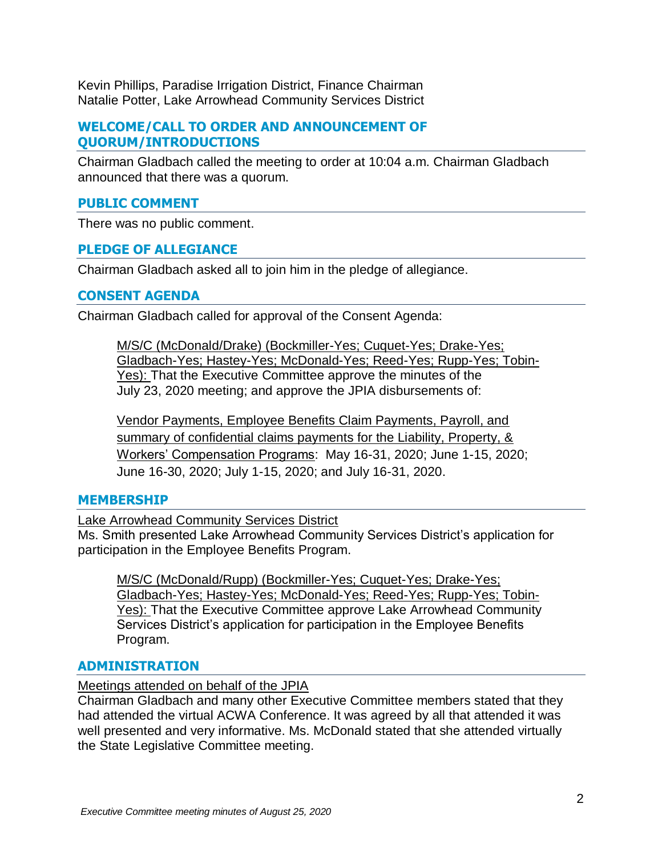Kevin Phillips, Paradise Irrigation District, Finance Chairman Natalie Potter, Lake Arrowhead Community Services District

# **WELCOME/CALL TO ORDER AND ANNOUNCEMENT OF QUORUM/INTRODUCTIONS**

Chairman Gladbach called the meeting to order at 10:04 a.m. Chairman Gladbach announced that there was a quorum.

# **PUBLIC COMMENT**

There was no public comment.

# **PLEDGE OF ALLEGIANCE**

Chairman Gladbach asked all to join him in the pledge of allegiance.

# **CONSENT AGENDA**

Chairman Gladbach called for approval of the Consent Agenda:

M/S/C (McDonald/Drake) (Bockmiller-Yes; Cuquet-Yes; Drake-Yes; Gladbach-Yes; Hastey-Yes; McDonald-Yes; Reed-Yes; Rupp-Yes; Tobin-Yes): That the Executive Committee approve the minutes of the July 23, 2020 meeting; and approve the JPIA disbursements of:

Vendor Payments, Employee Benefits Claim Payments, Payroll, and summary of confidential claims payments for the Liability, Property, & Workers' Compensation Programs: May 16-31, 2020; June 1-15, 2020; June 16-30, 2020; July 1-15, 2020; and July 16-31, 2020.

# **MEMBERSHIP**

Lake Arrowhead Community Services District

Ms. Smith presented Lake Arrowhead Community Services District's application for participation in the Employee Benefits Program.

M/S/C (McDonald/Rupp) (Bockmiller-Yes; Cuquet-Yes; Drake-Yes; Gladbach-Yes; Hastey-Yes; McDonald-Yes; Reed-Yes; Rupp-Yes; Tobin-Yes): That the Executive Committee approve Lake Arrowhead Community Services District's application for participation in the Employee Benefits Program.

# **ADMINISTRATION**

# Meetings attended on behalf of the JPIA

Chairman Gladbach and many other Executive Committee members stated that they had attended the virtual ACWA Conference. It was agreed by all that attended it was well presented and very informative. Ms. McDonald stated that she attended virtually the State Legislative Committee meeting.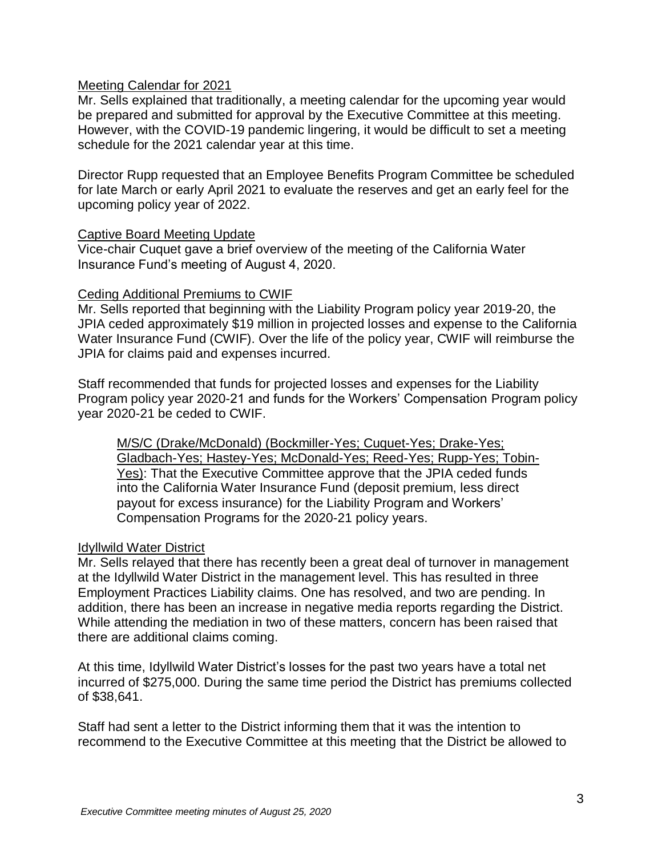#### Meeting Calendar for 2021

Mr. Sells explained that traditionally, a meeting calendar for the upcoming year would be prepared and submitted for approval by the Executive Committee at this meeting. However, with the COVID-19 pandemic lingering, it would be difficult to set a meeting schedule for the 2021 calendar year at this time.

Director Rupp requested that an Employee Benefits Program Committee be scheduled for late March or early April 2021 to evaluate the reserves and get an early feel for the upcoming policy year of 2022.

#### Captive Board Meeting Update

Vice-chair Cuquet gave a brief overview of the meeting of the California Water Insurance Fund's meeting of August 4, 2020.

#### Ceding Additional Premiums to CWIF

Mr. Sells reported that beginning with the Liability Program policy year 2019-20, the JPIA ceded approximately \$19 million in projected losses and expense to the California Water Insurance Fund (CWIF). Over the life of the policy year, CWIF will reimburse the JPIA for claims paid and expenses incurred.

Staff recommended that funds for projected losses and expenses for the Liability Program policy year 2020-21 and funds for the Workers' Compensation Program policy year 2020-21 be ceded to CWIF.

M/S/C (Drake/McDonald) (Bockmiller-Yes; Cuquet-Yes; Drake-Yes; Gladbach-Yes; Hastey-Yes; McDonald-Yes; Reed-Yes; Rupp-Yes; Tobin-Yes): That the Executive Committee approve that the JPIA ceded funds into the California Water Insurance Fund (deposit premium, less direct payout for excess insurance) for the Liability Program and Workers' Compensation Programs for the 2020-21 policy years.

# Idyllwild Water District

Mr. Sells relayed that there has recently been a great deal of turnover in management at the Idyllwild Water District in the management level. This has resulted in three Employment Practices Liability claims. One has resolved, and two are pending. In addition, there has been an increase in negative media reports regarding the District. While attending the mediation in two of these matters, concern has been raised that there are additional claims coming.

At this time, Idyllwild Water District's losses for the past two years have a total net incurred of \$275,000. During the same time period the District has premiums collected of \$38,641.

Staff had sent a letter to the District informing them that it was the intention to recommend to the Executive Committee at this meeting that the District be allowed to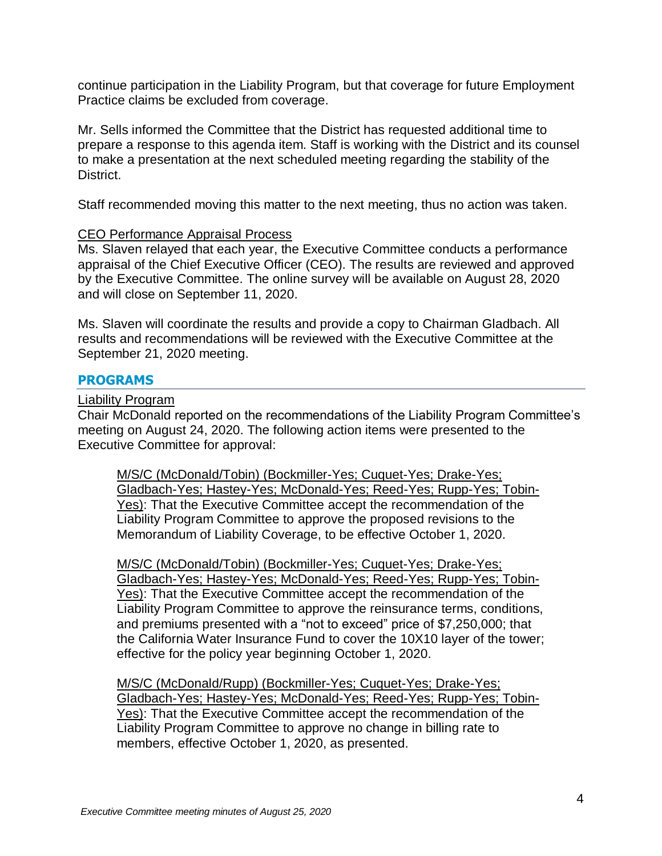continue participation in the Liability Program, but that coverage for future Employment Practice claims be excluded from coverage.

Mr. Sells informed the Committee that the District has requested additional time to prepare a response to this agenda item. Staff is working with the District and its counsel to make a presentation at the next scheduled meeting regarding the stability of the District.

Staff recommended moving this matter to the next meeting, thus no action was taken.

#### CEO Performance Appraisal Process

Ms. Slaven relayed that each year, the Executive Committee conducts a performance appraisal of the Chief Executive Officer (CEO). The results are reviewed and approved by the Executive Committee. The online survey will be available on August 28, 2020 and will close on September 11, 2020.

Ms. Slaven will coordinate the results and provide a copy to Chairman Gladbach. All results and recommendations will be reviewed with the Executive Committee at the September 21, 2020 meeting.

#### **PROGRAMS**

#### Liability Program

Chair McDonald reported on the recommendations of the Liability Program Committee's meeting on August 24, 2020. The following action items were presented to the Executive Committee for approval:

M/S/C (McDonald/Tobin) (Bockmiller-Yes; Cuquet-Yes; Drake-Yes; Gladbach-Yes; Hastey-Yes; McDonald-Yes; Reed-Yes; Rupp-Yes; Tobin-Yes): That the Executive Committee accept the recommendation of the Liability Program Committee to approve the proposed revisions to the Memorandum of Liability Coverage, to be effective October 1, 2020.

M/S/C (McDonald/Tobin) (Bockmiller-Yes; Cuquet-Yes; Drake-Yes; Gladbach-Yes; Hastey-Yes; McDonald-Yes; Reed-Yes; Rupp-Yes; Tobin-Yes): That the Executive Committee accept the recommendation of the Liability Program Committee to approve the reinsurance terms, conditions, and premiums presented with a "not to exceed" price of \$7,250,000; that the California Water Insurance Fund to cover the 10X10 layer of the tower; effective for the policy year beginning October 1, 2020.

M/S/C (McDonald/Rupp) (Bockmiller-Yes; Cuquet-Yes; Drake-Yes; Gladbach-Yes; Hastey-Yes; McDonald-Yes; Reed-Yes; Rupp-Yes; Tobin-Yes): That the Executive Committee accept the recommendation of the Liability Program Committee to approve no change in billing rate to members, effective October 1, 2020, as presented.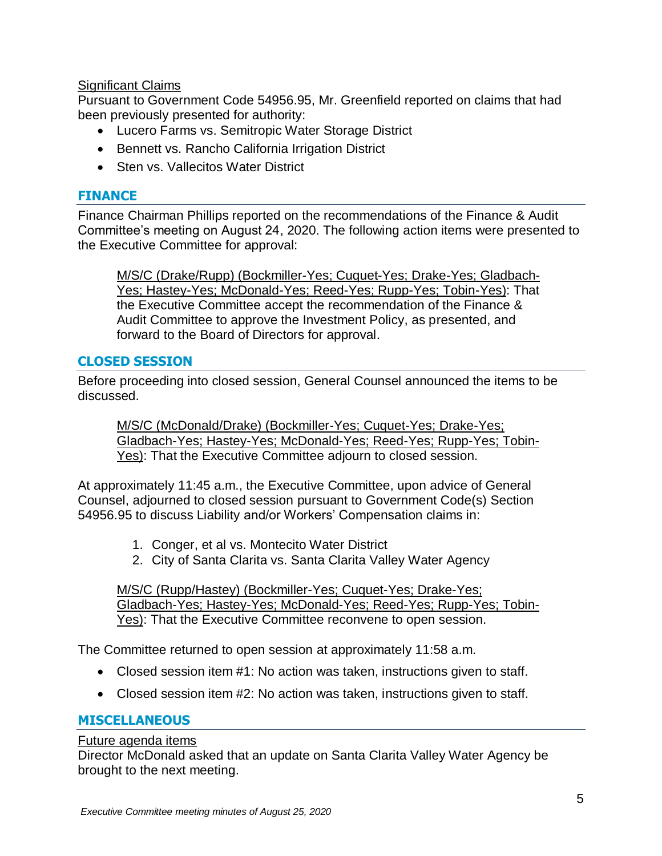# **Significant Claims**

Pursuant to Government Code 54956.95, Mr. Greenfield reported on claims that had been previously presented for authority:

- Lucero Farms vs. Semitropic Water Storage District
- Bennett vs. Rancho California Irrigation District
- Sten vs. Vallecitos Water District

# **FINANCE**

Finance Chairman Phillips reported on the recommendations of the Finance & Audit Committee's meeting on August 24, 2020. The following action items were presented to the Executive Committee for approval:

M/S/C (Drake/Rupp) (Bockmiller-Yes; Cuquet-Yes; Drake-Yes; Gladbach-Yes; Hastey-Yes; McDonald-Yes; Reed-Yes; Rupp-Yes; Tobin-Yes): That the Executive Committee accept the recommendation of the Finance & Audit Committee to approve the Investment Policy, as presented, and forward to the Board of Directors for approval.

# **CLOSED SESSION**

Before proceeding into closed session, General Counsel announced the items to be discussed.

M/S/C (McDonald/Drake) (Bockmiller-Yes; Cuquet-Yes; Drake-Yes; Gladbach-Yes; Hastey-Yes; McDonald-Yes; Reed-Yes; Rupp-Yes; Tobin-Yes): That the Executive Committee adjourn to closed session.

At approximately 11:45 a.m., the Executive Committee, upon advice of General Counsel, adjourned to closed session pursuant to Government Code(s) Section 54956.95 to discuss Liability and/or Workers' Compensation claims in:

- 1. Conger, et al vs. Montecito Water District
- 2. City of Santa Clarita vs. Santa Clarita Valley Water Agency

M/S/C (Rupp/Hastey) (Bockmiller-Yes; Cuquet-Yes; Drake-Yes; Gladbach-Yes; Hastey-Yes; McDonald-Yes; Reed-Yes; Rupp-Yes; Tobin-Yes): That the Executive Committee reconvene to open session.

The Committee returned to open session at approximately 11:58 a.m.

- Closed session item #1: No action was taken, instructions given to staff.
- Closed session item #2: No action was taken, instructions given to staff.

# **MISCELLANEOUS**

# Future agenda items

Director McDonald asked that an update on Santa Clarita Valley Water Agency be brought to the next meeting.